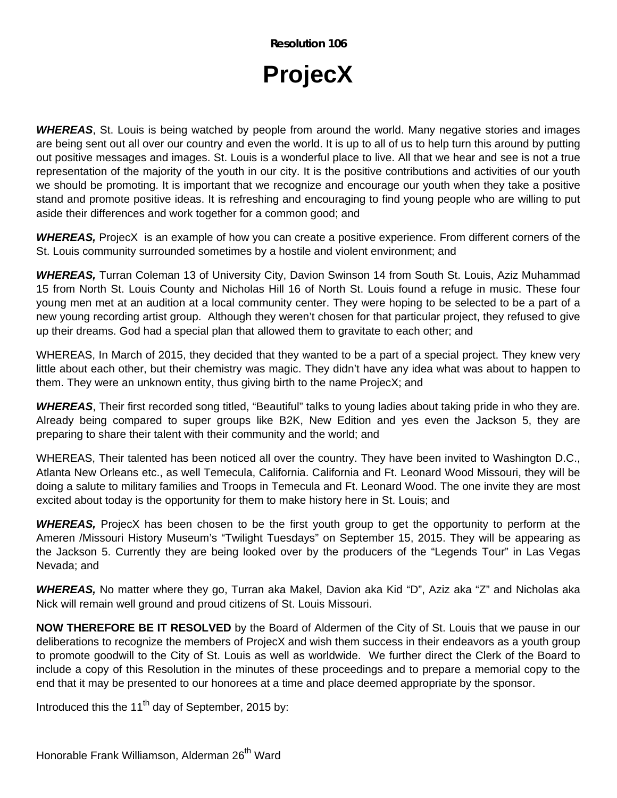**Resolution 106** 

## **ProjecX**

*WHEREAS*, St. Louis is being watched by people from around the world. Many negative stories and images are being sent out all over our country and even the world. It is up to all of us to help turn this around by putting out positive messages and images. St. Louis is a wonderful place to live. All that we hear and see is not a true representation of the majority of the youth in our city. It is the positive contributions and activities of our youth we should be promoting. It is important that we recognize and encourage our youth when they take a positive stand and promote positive ideas. It is refreshing and encouraging to find young people who are willing to put aside their differences and work together for a common good; and

*WHEREAS,* ProjecX is an example of how you can create a positive experience. From different corners of the St. Louis community surrounded sometimes by a hostile and violent environment; and

*WHEREAS,* Turran Coleman 13 of University City, Davion Swinson 14 from South St. Louis, Aziz Muhammad 15 from North St. Louis County and Nicholas Hill 16 of North St. Louis found a refuge in music. These four young men met at an audition at a local community center. They were hoping to be selected to be a part of a new young recording artist group. Although they weren't chosen for that particular project, they refused to give up their dreams. God had a special plan that allowed them to gravitate to each other; and

WHEREAS, In March of 2015, they decided that they wanted to be a part of a special project. They knew very little about each other, but their chemistry was magic. They didn't have any idea what was about to happen to them. They were an unknown entity, thus giving birth to the name ProjecX; and

*WHEREAS*, Their first recorded song titled, "Beautiful" talks to young ladies about taking pride in who they are. Already being compared to super groups like B2K, New Edition and yes even the Jackson 5, they are preparing to share their talent with their community and the world; and

WHEREAS, Their talented has been noticed all over the country. They have been invited to Washington D.C., Atlanta New Orleans etc., as well Temecula, California. California and Ft. Leonard Wood Missouri, they will be doing a salute to military families and Troops in Temecula and Ft. Leonard Wood. The one invite they are most excited about today is the opportunity for them to make history here in St. Louis; and

*WHEREAS,* ProjecX has been chosen to be the first youth group to get the opportunity to perform at the Ameren /Missouri History Museum's "Twilight Tuesdays" on September 15, 2015. They will be appearing as the Jackson 5. Currently they are being looked over by the producers of the "Legends Tour" in Las Vegas Nevada; and

*WHEREAS,* No matter where they go, Turran aka Makel, Davion aka Kid "D", Aziz aka "Z" and Nicholas aka Nick will remain well ground and proud citizens of St. Louis Missouri.

**NOW THEREFORE BE IT RESOLVED** by the Board of Aldermen of the City of St. Louis that we pause in our deliberations to recognize the members of ProjecX and wish them success in their endeavors as a youth group to promote goodwill to the City of St. Louis as well as worldwide. We further direct the Clerk of the Board to include a copy of this Resolution in the minutes of these proceedings and to prepare a memorial copy to the end that it may be presented to our honorees at a time and place deemed appropriate by the sponsor.

Introduced this the 11<sup>th</sup> day of September, 2015 by: